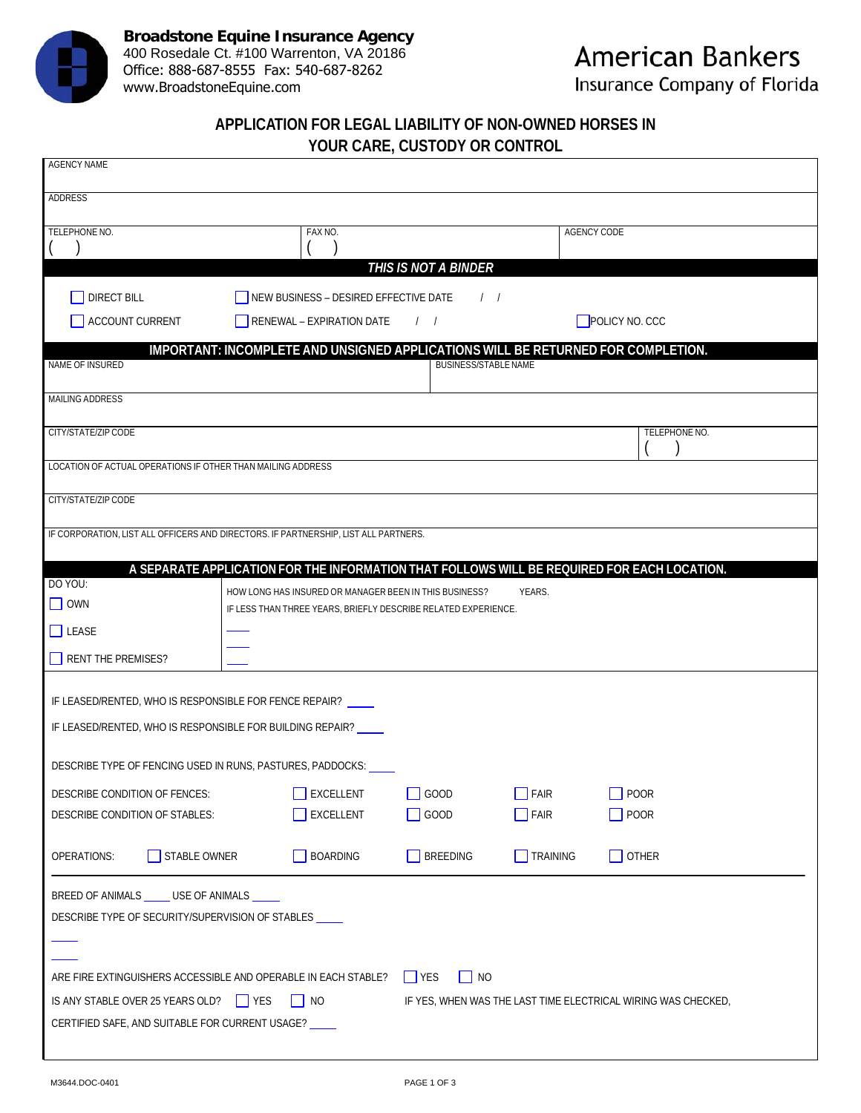

## **APPLICATION FOR LEGAL LIABILITY OF NON-OWNED HORSES IN YOUR CARE, CUSTODY OR CONTROL**

| <b>AGENCY NAME</b>                                                                                                  |  |                                                                                                                          |                             |                 |                                                                                             |  |
|---------------------------------------------------------------------------------------------------------------------|--|--------------------------------------------------------------------------------------------------------------------------|-----------------------------|-----------------|---------------------------------------------------------------------------------------------|--|
| ADDRESS                                                                                                             |  |                                                                                                                          |                             |                 |                                                                                             |  |
| TELEPHONE NO.                                                                                                       |  | FAX NO.                                                                                                                  |                             |                 | AGENCY CODE                                                                                 |  |
|                                                                                                                     |  |                                                                                                                          | THIS IS NOT A BINDER        |                 |                                                                                             |  |
| <b>DIRECT BILL</b>                                                                                                  |  | NEW BUSINESS - DESIRED EFFECTIVE DATE                                                                                    | 1 <sup>1</sup>              |                 |                                                                                             |  |
| ACCOUNT CURRENT                                                                                                     |  | RENEWAL - EXPIRATION DATE                                                                                                | $\frac{1}{2}$               |                 | POLICY NO. CCC                                                                              |  |
| NAME OF INSURED                                                                                                     |  |                                                                                                                          | <b>BUSINESS/STABLE NAME</b> |                 | IMPORTANT: INCOMPLETE AND UNSIGNED APPLICATIONS WILL BE RETURNED FOR COMPLETION.            |  |
|                                                                                                                     |  |                                                                                                                          |                             |                 |                                                                                             |  |
| MAILING ADDRESS                                                                                                     |  |                                                                                                                          |                             |                 |                                                                                             |  |
| CITY/STATE/ZIP CODE                                                                                                 |  |                                                                                                                          |                             |                 | TELEPHONE NO.                                                                               |  |
| LOCATION OF ACTUAL OPERATIONS IF OTHER THAN MAILING ADDRESS                                                         |  |                                                                                                                          |                             |                 |                                                                                             |  |
| CITY/STATE/ZIP CODE                                                                                                 |  |                                                                                                                          |                             |                 |                                                                                             |  |
| IF CORPORATION, LIST ALL OFFICERS AND DIRECTORS. IF PARTNERSHIP, LIST ALL PARTNERS.                                 |  |                                                                                                                          |                             |                 |                                                                                             |  |
|                                                                                                                     |  |                                                                                                                          |                             |                 |                                                                                             |  |
| DO YOU:                                                                                                             |  |                                                                                                                          |                             |                 | A SEPARATE APPLICATION FOR THE INFORMATION THAT FOLLOWS WILL BE REQUIRED FOR EACH LOCATION. |  |
| $\Box$ OWN                                                                                                          |  | HOW LONG HAS INSURED OR MANAGER BEEN IN THIS BUSINESS?<br>IF LESS THAN THREE YEARS, BRIEFLY DESCRIBE RELATED EXPERIENCE. |                             | YEARS.          |                                                                                             |  |
| $\Box$ LEASE                                                                                                        |  |                                                                                                                          |                             |                 |                                                                                             |  |
| RENT THE PREMISES?                                                                                                  |  |                                                                                                                          |                             |                 |                                                                                             |  |
|                                                                                                                     |  |                                                                                                                          |                             |                 |                                                                                             |  |
| IF LEASED/RENTED, WHO IS RESPONSIBLE FOR FENCE REPAIR?                                                              |  |                                                                                                                          |                             |                 |                                                                                             |  |
| IF LEASED/RENTED, WHO IS RESPONSIBLE FOR BUILDING REPAIR? _____                                                     |  |                                                                                                                          |                             |                 |                                                                                             |  |
| DESCRIBE TYPE OF FENCING USED IN RUNS, PASTURES, PADDOCKS:                                                          |  |                                                                                                                          |                             |                 |                                                                                             |  |
| DESCRIBE CONDITION OF FENCES:                                                                                       |  | EXCELLENT                                                                                                                | $\Box$ GOOD                 | $\Box$ FAIR     | $\Box$ POOR                                                                                 |  |
| DESCRIBE CONDITION OF STABLES:                                                                                      |  | EXCELLENT                                                                                                                | $\Box$ GOOD                 | $\Box$ FAIR     | $\Box$ POOR                                                                                 |  |
| STABLE OWNER<br><b>OPERATIONS:</b>                                                                                  |  | BOARDING                                                                                                                 | BREEDING                    | <b>TRAINING</b> | $\Box$ OTHER                                                                                |  |
| BREED OF ANIMALS _____ USE OF ANIMALS _____                                                                         |  |                                                                                                                          |                             |                 |                                                                                             |  |
| DESCRIBE TYPE OF SECURITY/SUPERVISION OF STABLES ____                                                               |  |                                                                                                                          |                             |                 |                                                                                             |  |
|                                                                                                                     |  |                                                                                                                          |                             |                 |                                                                                             |  |
| <b>TYES</b><br>$\Box$ NO<br>ARE FIRE EXTINGUISHERS ACCESSIBLE AND OPERABLE IN EACH STABLE?                          |  |                                                                                                                          |                             |                 |                                                                                             |  |
| IS ANY STABLE OVER 25 YEARS OLD? YES<br>$\vert$ NO<br>IF YES, WHEN WAS THE LAST TIME ELECTRICAL WIRING WAS CHECKED, |  |                                                                                                                          |                             |                 |                                                                                             |  |
| CERTIFIED SAFE, AND SUITABLE FOR CURRENT USAGE?                                                                     |  |                                                                                                                          |                             |                 |                                                                                             |  |
|                                                                                                                     |  |                                                                                                                          |                             |                 |                                                                                             |  |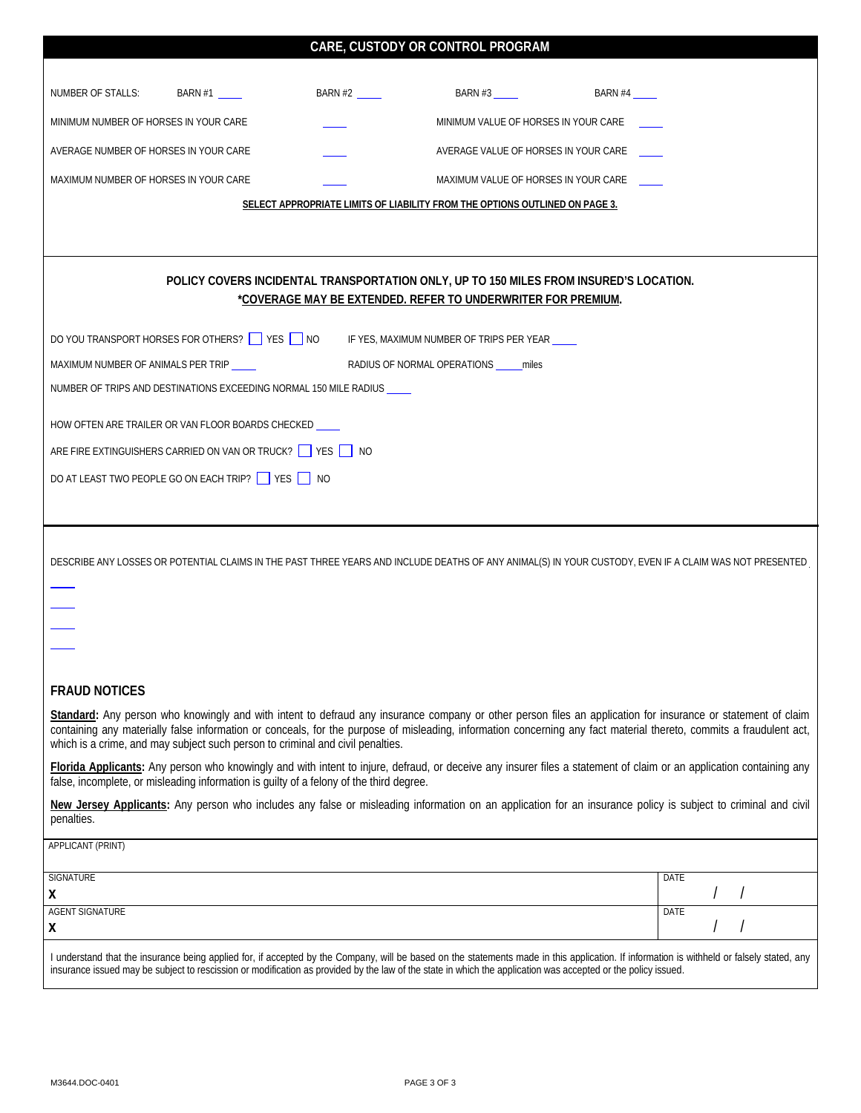|                                                                                                                                                                                                                                                                                                                                                                                                                       |         | CARE, CUSTODY OR CONTROL PROGRAM                                            |         |      |  |  |
|-----------------------------------------------------------------------------------------------------------------------------------------------------------------------------------------------------------------------------------------------------------------------------------------------------------------------------------------------------------------------------------------------------------------------|---------|-----------------------------------------------------------------------------|---------|------|--|--|
|                                                                                                                                                                                                                                                                                                                                                                                                                       |         |                                                                             |         |      |  |  |
| NUMBER OF STALLS:<br>BARN #1                                                                                                                                                                                                                                                                                                                                                                                          | BARN #2 |                                                                             | BARN #4 |      |  |  |
| MINIMUM NUMBER OF HORSES IN YOUR CARE                                                                                                                                                                                                                                                                                                                                                                                 |         | MINIMUM VALUE OF HORSES IN YOUR CARE                                        |         |      |  |  |
| AVERAGE NUMBER OF HORSES IN YOUR CARE                                                                                                                                                                                                                                                                                                                                                                                 |         | AVERAGE VALUE OF HORSES IN YOUR CARE                                        |         |      |  |  |
| MAXIMUM NUMBER OF HORSES IN YOUR CARE                                                                                                                                                                                                                                                                                                                                                                                 |         | MAXIMUM VALUE OF HORSES IN YOUR CARE                                        |         |      |  |  |
|                                                                                                                                                                                                                                                                                                                                                                                                                       |         | SELECT APPROPRIATE LIMITS OF LIABILITY FROM THE OPTIONS OUTLINED ON PAGE 3. |         |      |  |  |
|                                                                                                                                                                                                                                                                                                                                                                                                                       |         |                                                                             |         |      |  |  |
| POLICY COVERS INCIDENTAL TRANSPORTATION ONLY, UP TO 150 MILES FROM INSURED'S LOCATION.<br><u>*COVERAGE MAY BE EXTENDED. REFER TO UNDERWRITER FOR PREMIUM.</u>                                                                                                                                                                                                                                                         |         |                                                                             |         |      |  |  |
| DO YOU TRANSPORT HORSES FOR OTHERS? ■ YES ■ NO FYES, MAXIMUM NUMBER OF TRIPS PER YEAR ___                                                                                                                                                                                                                                                                                                                             |         |                                                                             |         |      |  |  |
| MAXIMUM NUMBER OF ANIMALS PER TRIP                                                                                                                                                                                                                                                                                                                                                                                    |         | RADIUS OF NORMAL OPERATIONS _____ miles                                     |         |      |  |  |
| NUMBER OF TRIPS AND DESTINATIONS EXCEEDING NORMAL 150 MILE RADIUS                                                                                                                                                                                                                                                                                                                                                     |         |                                                                             |         |      |  |  |
| HOW OFTEN ARE TRAILER OR VAN FLOOR BOARDS CHECKED                                                                                                                                                                                                                                                                                                                                                                     |         |                                                                             |         |      |  |  |
| ARE FIRE EXTINGUISHERS CARRIED ON VAN OR TRUCK? VES NO                                                                                                                                                                                                                                                                                                                                                                |         |                                                                             |         |      |  |  |
| DO AT LEAST TWO PEOPLE GO ON EACH TRIP? VES NO                                                                                                                                                                                                                                                                                                                                                                        |         |                                                                             |         |      |  |  |
|                                                                                                                                                                                                                                                                                                                                                                                                                       |         |                                                                             |         |      |  |  |
|                                                                                                                                                                                                                                                                                                                                                                                                                       |         |                                                                             |         |      |  |  |
| DESCRIBE ANY LOSSES OR POTENTIAL CLAIMS IN THE PAST THREE YEARS AND INCLUDE DEATHS OF ANY ANIMAL(S) IN YOUR CUSTODY, EVEN IF A CLAIM WAS NOT PRESENTED                                                                                                                                                                                                                                                                |         |                                                                             |         |      |  |  |
|                                                                                                                                                                                                                                                                                                                                                                                                                       |         |                                                                             |         |      |  |  |
|                                                                                                                                                                                                                                                                                                                                                                                                                       |         |                                                                             |         |      |  |  |
|                                                                                                                                                                                                                                                                                                                                                                                                                       |         |                                                                             |         |      |  |  |
|                                                                                                                                                                                                                                                                                                                                                                                                                       |         |                                                                             |         |      |  |  |
| <b>FRAUD NOTICES</b>                                                                                                                                                                                                                                                                                                                                                                                                  |         |                                                                             |         |      |  |  |
| Standard: Any person who knowingly and with intent to defraud any insurance company or other person files an application for insurance or statement of claim<br>containing any materially false information or conceals, for the purpose of misleading, information concerning any fact material thereto, commits a fraudulent act,<br>which is a crime, and may subject such person to criminal and civil penalties. |         |                                                                             |         |      |  |  |
| Florida Applicants: Any person who knowingly and with intent to injure, defraud, or deceive any insurer files a statement of claim or an application containing any<br>false, incomplete, or misleading information is quilty of a felony of the third degree.                                                                                                                                                        |         |                                                                             |         |      |  |  |
| New Jersey Applicants: Any person who includes any false or misleading information on an application for an insurance policy is subject to criminal and civil<br>penalties.                                                                                                                                                                                                                                           |         |                                                                             |         |      |  |  |
| APPLICANT (PRINT)                                                                                                                                                                                                                                                                                                                                                                                                     |         |                                                                             |         |      |  |  |
| <b>SIGNATURE</b>                                                                                                                                                                                                                                                                                                                                                                                                      |         |                                                                             |         | DATE |  |  |
| X<br><b>AGENT SIGNATURE</b>                                                                                                                                                                                                                                                                                                                                                                                           |         |                                                                             |         | DATE |  |  |
| X                                                                                                                                                                                                                                                                                                                                                                                                                     |         |                                                                             |         |      |  |  |
| I understand that the insurance being applied for, if accepted by the Company, will be based on the statements made in this application. If information is withheld or falsely stated, any<br>insurance issued may be subject to rescission or modification as provided by the law of the state in which the application was accepted or the policy issued.                                                           |         |                                                                             |         |      |  |  |